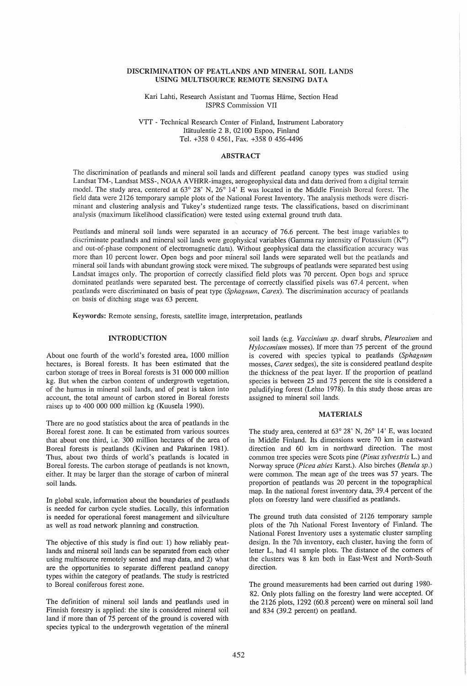### DISCRIMINATION OF PEATLANDS AND MINERAL SOIL LANDS USING MULTISOURCE REMOTE SENSING DATA

Kari Lahti, Research Assistant and Tuomas Harne, Section Head ISPRS Commission VII

VTT - Technical Research Center of Finland, Instrument Laboratory Itatuulentie 2 B, 02100 Espoo, Finland Tel. +358 04561, Fax. +358 0 456-4496

## **ABSTRACT**

The discrimination of peatlands and mineral soil lands and different peatland canopy types was studied using Landsat TM-, Landsat MSS-, NOAA A VHRR-images, aerogeophysical data and data derived from a digital terrain model. The study area, centered at 63° 28' N, 26° 14' E was located in the Middle Finnish Boreal forest. The field data were 2126 temporary sample plots of the National Forest Inventory. The analysis methods were discriminant and clustering analysis and Tukey's studentized range tests. The classifications, based on discriminant analysis (maximum likelihood classification) were tested using external ground truth data.

Peatlands and mineral soil lands were separated in an accuracy of 76.6 percent. The best image variables to discriminate peatlands and mineral soil lands were geophysical variables (Gamma ray intensity of Potassium  $(K^{40})$ and out-of-phase component of electromagnetic data). Without geophysical data the classification accuracy was more than 10 percent lower. Open bogs and poor mineral soil lands were separated well but the peatlands and mineral soil lands with abundant growing stock were mixed. The subgroups of peatlands were separated best using Landsat images only. The proportion of correctly classified field plots was 70 percent. Open bogs and spruce dominated peatlands were separated best. The percentage of correctly classified pixels was 67.4 percent, when peatlands were discriminated on basis of peat type *(Sphagnum, Carex).* The discrimination accuracy of peatlands on basis of ditching stage was 63 percent.

Keywords: Remote sensing, forests, satellite image, interpretation, peatlands

### INTRODUCTION

About one fourth of the world's forested area, 1000 million hectares, is Boreal forests. It has been estimated that the carbon storage of trees in Boreal forests is 31 000 000 million kg. But when the carbon content of undergrowth vegetation, of the humus in mineral soil lands, and of peat is taken into account, the total amount of carbon stored in Boreal forests raises up to 400 000 000 million kg (Kuusela 1990).

There are no good statistics about the area of peatlands in the Boreal forest zone. It can be estimated from various sources that about one third, i.e. 300 million hectares of the area of Boreal forests is peatlands (Kivinen and Pakarinen 1981). Thus, about two thirds of world's peatlands is located in Boreal forests. The carbon storage of peatlands is not known, either. It may be larger than the storage of carbon of mineral soil lands.

In global scale, information about the boundaries of peatlands is needed for carbon cycle studies. Locally, this information is needed for operational forest management and silviculture as well as road network planning and construction.

The objective of this study is find out: 1) how reliably peatlands and mineral soil lands can be separated from each other using multisource remotely sensed and map data, and 2) what are the opportunities to separate different peatland canopy types within the category of peatlands. The study is restricted to Boreal coniferous forest zone.

The definition of mineral soil lands and peatlands used in Finnish forestry is applied: the site is considered mineral soil land if more than of 75 percent of the ground is covered with species typical to the undergrowth vegetation of the mineral

soil lands (e.g. *Vaccinium sp.* dwarf shrubs, *Pleurozium* and *Hylocomium* mosses). If more than 75 percent of the ground is covered with species typical to peatlands *(Sphagnum*  mosses, *Carex* sedges), the site is considered peatland despite the thickness of the peat layer. If the proportion of peatland species is between 25 and 75 percent the site is considered a paludifying forest (Lehto 1978). In this study those areas are assigned to mineral soil lands.

### MATERIALS

The study area, centered at  $63^{\circ}$  28' N, 26° 14' E, was located in Middle Finland. Its dimensions were 70 km in eastward direction and 60 km in northward direction. The most common tree species were Scots pine *(Pinus sylvestris* L.) and Norway spruce *(Picea abies* Karst.). Also birches *(Betula sp.)*  were common. The mean age of the trees was 57 years. The proportion of peatlands was 20 percent in the topographical map. In the national forest inventory data, 39.4 percent of the plots on forestry land were classified as peatlands.

The ground truth data consisted of 2126 temporary sample plots of the 7th National Forest Inventory of Finland. The National Forest Inventory uses a systematic cluster sampling design. In the 7th inventory, each cluster, having the form of letter L, had 41 sample plots. The distance of the corners of the clusters was 8 km both in East-West and North-South direction.

The ground measurements had been carried out during 1980- 82. Only plots falling on the forestry land were accepted. Of the 2126 plots, 1292 (60.8 percent) were on mineral soil land and 834 (39.2 percent) on peatland.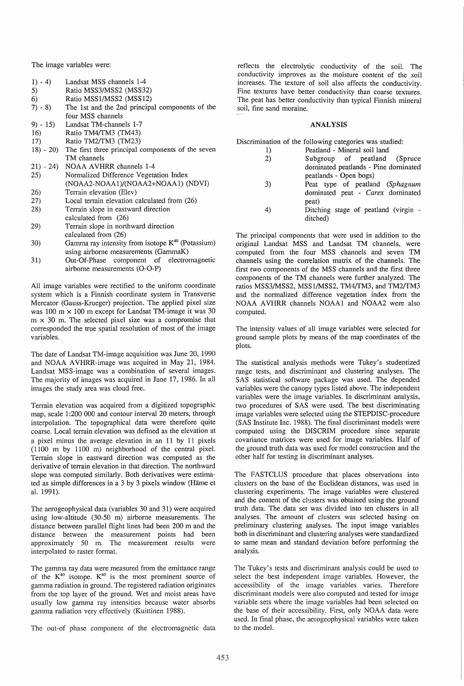The image variables were:

- $1) 4$ Landsat MSS channels 1-4
- 5) Ratio MSS3/MSS2 (MSS32)
- 6) Ratio MSSl/MSS2 (MSS12)
- 7) 8) The 1st and the 2nd principal components of the four MSS channels
- 9) 15) Landsat TM-channels 1-7
- 16) Ratio TM4/TM3 (TM43)
- 17) Ratio TM2/TM3 (TM23)
- 18) 20) The first three principal components of the seven TM channels
- 21) 24) NOAA AVHRR channels 1-4
- 25) Normalized Difference Vegetation Index (NOAA2-NOAA1)/(NOAA2+NOAA1) (NDVI)
- 26) Terrain elevation (Elev)
- 27) Local terrain elevation calculated from (26)
- 28) Terrain slope in eastward direction calculated from (26)
- 29) Terrain slope in northward direction calculated from (26)
- 30) Gamma ray intensity from isotope  $K^{40}$  (Potassium) using airborne measurements (GammaK)
- 31) Out-Of-Phase component of electromagnetic airborne measurements (O-O-P)

All image variables were rectified to the uniform coordinate system which is a Finnish coordinate system in Transverse Mercator (Gauss-Krueger) projection. The applied pixel size was  $100 \text{ m} \times 100 \text{ m}$  except for Landsat TM-image it was  $30$  $m \times 30$  m. The selected pixel size was a compromise that corresponded the true spatial resolution of most of the image variables.

The date of Landsat TM-image acquisition was June 20, 1990 and NOAA AVHRR-image was acquired in May 21, 1984. Landsat MSS-image was a combination of several images. The majority of images was acquired in June 17, 1986. In all images the study area was cloud free.

Terrain elevation was acquired from a digitized topographic map, scale 1:200 000 and contour interval 20 meters, through interpolation. The topographical data were therefore quite coarse. Local terrain elevation was defined as the elevation at a pixel minus the average elevation in an 11 by 11 pixels (1100 m by 1100 m) neighborhood of the central pixel. Terrain slope in eastward direction was computed as the derivative of terrain elevation in that direction. The northward slope was computed similarly. Both derivatives were estimated as simple differences in a 3 by 3 pixels window (Hame et al. 1991).

The aerogeophysical data (variables 30 and 31) were acquired using low-altitude (30-50 m) airborne measurements. The distance between parallel flight lines had been 200 m and the distance between the measurement points had been approximately 50 m. The measurement results were interpolated to raster format.

The gamma ray data were measured from the emittance range of the  $K^{40}$  isotope.  $K^{40}$  is the most prominent source of gamma radiation in ground. The registered radiation originates from the top layer of the ground. Wet and moist areas have usually low gamma ray intensities because water absorbs gamma radiation very effectively (Kuittinen 1988).

The out-of phase component of the electromagnetic data

reflects the electrolytic conductivity of the soil. The conductivity improves as the moisture content of the soil increases. The texture of soil also affects the conductivity. Fine textures have better conductivity than coarse textures. The peat has better conductivity than typical Finnish mineral soil, fine sand moraine.

## ANALYSIS

Discrimination of the following categories was studied:

- 1) Peatland Mineral soil land
	- 2) Subgroup of peatland (Spruce dominated peatlands - Pine dominated peatlands - Open bogs)
	- 3) Peat type of peatland (Sphagnum dominated peat - *Carex* dominated peat)
	- 4) Ditching stage of peatland (virgin ditched)

The principal components that were used in addition to the original Landsat MSS and Landsat TM channels, were computed from the four MSS channels and seven TM channels using the correlation matrix of the channels. The first two components of the MSS channels and the first three components of the TM channels were further analyzed. The ratios MSS3/MSS2, MSS 1/MSS2, *TM4/TM3,* and *TM2/TM3*  and the normalized difference vegetation index from the NOAA A VHRR channels NOAAI and NOAA2 were also computed.

The intensity values of all image variables were selected for ground sample plots by means of the map coordinates of the plots.

The statistical analysis methods were Tukey's studentized range tests, and discriminant and clustering analyses. The SAS statistical software package was used. The depended variables were the canopy types listed above. The independent variables were the image variables. In discriminant analysis, two procedures of SAS were used. The best discriminating image variables were selected using the STEPDISC-procedure (SAS Institute Inc. 1988). The final discriminant models were computed using the DISCRIM procedure since separate covariance matrices were used for image variables. Half of the ground truth data was used for model construction and the other half for testing in discriminant analyses.

The FASTCLUS procedure that places observations into clusters on the base of the Euclidean distances, was used in clustering experiments. The image variables were clustered and the content of the clusters was obtained using the ground truth data. The data set was divided into ten clusters in all analyses. The amount of clusters was selected basing on preliminary clustering analyses. The input image variables both in discriminant and clustering analyses were standardized to same mean and standard deviation before performing the analysis.

The Tukey's tests and discriminant analysis could be used to select the best independent image variables. However, the accessibility of the image variables varies. Therefore discriminant models were also computed and tested for image variable sets where the image variables had been selected on the base of their accessibility. First, only NOAA data were used. In final phase, the aerogeophysical variables were taken to the model.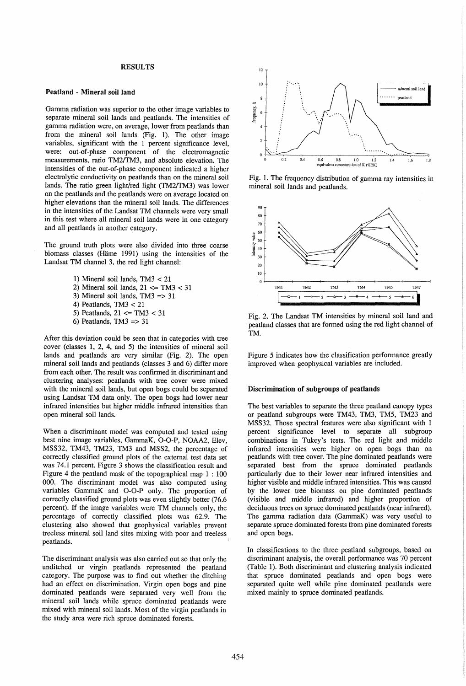## RESULTS

#### Peatland - Mineral soil land

Gamma radiation was superior to the other image variables to separate mineral soil lands and peatlands. The intensities of gamma radiation were, on average, lower from peatlands than from the mineral soil lands (Fig. 1). The other image variables, significant with the 1 percent significance level, were: out-of-phase component of the electromagnetic measurements, ratio TM2/fM3, and absolute elevation. The intensities of the out-of-phase component indicated a higher electrolytic conductivity on peatlands than on the mineral soil lands. The ratio green light/red light (TM2/TM3) was lower on the peatlands and the peatlands were on average located on higher elevations than the mineral soil lands. The differences in the intensities of the Landsat TM channels were very small in this test where all mineral soil lands were in one category and all peatlands in another category.

The ground truth plots were also divided into three coarse biomass classes (Häme 1991) using the intensities of the Landsat TM channel 3, the red light channel:

> 1) Mineral soil lands, TM3 < 21 2) Mineral soil lands,  $21 \le T M3 < 31$ 3) Mineral soil lands, TM3 => 31 4) Peatlands, TM3 < 21

- 5) Peatlands,  $21 \le T M3 < 31$
- 6) Peatlands, TM3  $\Rightarrow$  31

After this deviation could be seen that in categories with tree cover (classes 1, 2, 4, and 5) the intensities of mineral soil lands and peatlands are very similar (Fig. 2). The open mineral soil lands and peatlands (classes 3 and 6) differ more from each other. The result was confirmed in discriminant and clustering analyses: peatlands with tree cover were mixed with the mineral soil lands, but open bogs could be separated using Landsat TM data only. The open bogs had lower near infrared intensities but higher middle infrared intensities than open mineral soil lands.

When a discriminant model was computed and tested using best nine image variables, GammaK, O-O-P, NOAA2, Elev, *MSS32,* TM43 , TM23, TM3 and MSS2, the percentage of correctly classified ground plots of the external test data set was 74.1 percent. Figure 3 shows the classification result and Figure 4 the peadand mask of the topographical map 1 : 100 000. The discriminant model was also computed using variables GammaK and O-O-P only. The proportion of correctly classified ground plots was even slightly better (76.6 percent). If the image variables were TM channels only, the percentage of correctly classified plots was 62.9. The clustering also showed that geophysical variables prevent treeless mineral soil land sites mixing with poor and treeless peatlands.

The discriminant analysis was also carried out so that only the unditched or virgin peatlands represented the peatland category. The purpose was to find out whether the ditching had an effect on discrimination. Virgin open bogs and pine dominated peatlands were separated very well from the mineral soil lands while spruce dominated peatlands were mixed with mineral soil lands. Most of the virgin peatlands in the study area were rich spruce dominated forests.



Fig. 1. The frequency distribution of gamma ray intensities in mineral soil lands and peatlands.



Fig. 2. The Landsat TM intensities by mineral soil land and peatland classes that are formed using the red light channel of TM.

Figure 5 indicates how the classification performance greatly improved when geophysical variables are included.

### Discrimination of subgroups of peatlands

The best variables to separate the three peatland canopy types or peatland subgroups were TM43 , TM3, TM5, TM23 and MSS32. Those spectral features were also significant with 1 percent significance level to separate all subgroup combinations in Tukey's tests. The red light and middle infrared intensities were higher on open bogs than on peatlands with tree cover. The pine dominated peatlands were separated best from the spruce dominated peatlands particularly due to their lower near infrared intensities and higher visible and middle infrared intensities. This was caused by the lower tree biomass on pine dominated peatlands (visible and middle infrared) and higher proportion of deciduous trees on spruce dominated peatlands (near infrared). The gamma radiation data (GammaK) was very useful to separate spruce dominated forests from pine dominated forests and open bogs.

In classifications to the three peatland subgroups, based on discriminant analysis, the overall performance was 70 percent (Table 1). Both discriminant and clustering analysis indicated that spruce dominated peatlands and open bogs were separated quite well while pine dominated peatlands were mixed mainly to spruce dominated peatlands.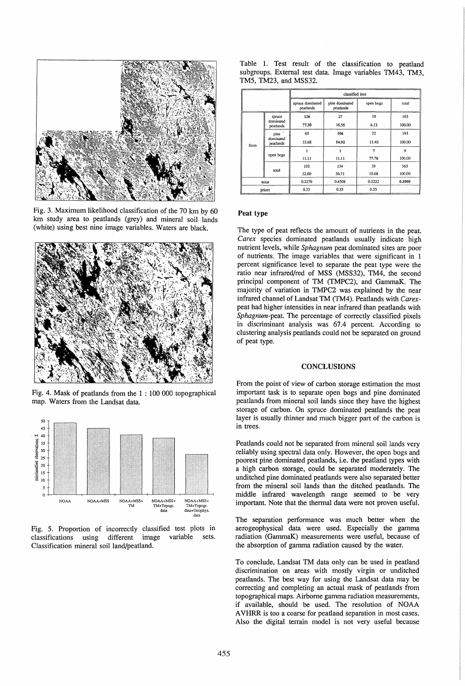

Fig. 3. Maximum likelihood classification of the 70 km by 60 km study area to peatlands (grey) and mineral soil lands (white) using best nine image variables. Waters are black.



Fig. 4. Mask of peatlands from the 1 : 100 000 topographical map. Waters from the Landsat data.





Table 1. Test result of the classification to peatland subgroups. External test data. Image variables TM43, TM3, TM5, TM23, and MSS32.

|        |                                  | classified into               |                             |           |        |
|--------|----------------------------------|-------------------------------|-----------------------------|-----------|--------|
|        |                                  | spruce dominated<br>peatlands | pine dominated<br>peatlands | open bogs | total  |
| from   | spruce                           | 126                           | 27                          | 10        | 163    |
|        | dominated<br>peatlands           | 77.30                         | 16.56                       | 6.13      | 100.00 |
|        | pine '<br>dominated<br>peatlands | 65                            | 106                         | 22        | 193    |
|        |                                  | 33.68                         | 54.92                       | 11.40     | 100.00 |
|        | open bogs                        |                               |                             | 7         | 9      |
|        |                                  | 11.11                         | 11.11                       | 77.78     | 100.00 |
|        | total                            | 192                           | 134                         | 39        | 365    |
|        |                                  | 52.60                         | 36.71                       | 10.68     | 100.00 |
| error  |                                  | 0.2270                        | 0.4508                      | 0.2222    | 0.3000 |
| priors |                                  | 0.33                          | 0.33                        | 0.33      |        |

### Peat type

The type of peat reflects the amount of nutrients in the peat. *Carex* species dominated peatlands usually indicate high nutrient levels, while *Sphagnum* peat dominated sites are poor of nutrients. The image variables that were significant in 1 percent significance level to separate the peat type were the ratio near infrared/red of MSS (MSS32), TM4, the second principal component of TM (TMPC2), and GammaK. The majority of variation in TMPC2 was explained by the near infrared channel of Landsat TM (TM4). Peatlands with *Carex*peat had higher intensities in near infrared than peatlands with *Sphagnum-peat.* The percentage of correctly classified pixels in discriminant analysis was 67.4 percent. According to clustering analysis peatlands could not be separated on ground of peat type.

# **CONCLUSIONS**

From the point of view of carbon storage estimation the most important task is to separate open bogs and pine dominated peatlands from mineral soil lands since they have the highest storage of carbon. On spruce dominated peatlands the peat layer is usually thinner and much bigger part of the carbon is in trees.

Peatlands could not be separated from mineral soil lands very reliably using spectral data only. However, the open bogs and poorest pine dominated peatlands, i.e. the peatland types with a high carbon storage, could be separated moderately. The unditched pine dominated peatlands were also separated better from the mineral soil lands than the ditched peatlands. The middle infrared wavelength range seemed to be very important. Note that the thermal data were not proven useful.

The separation performance was much better when the aerogeophysical data were used. Especially the gamma radiation (GammaK) measurements were useful, because of the absorption of gamma radiation caused by the water.

To conclude, Landsat TM data only can be used in peatland discrimination on areas with mostly virgin or unditched peatlands. The best way for using the Landsat data may be correcting and completing an actual mask of peatlands from topographical maps. Airborne gamma radiation measurements, if available, should be used. The resolution of NOAA A VHRR is too a coarse for peatland separation in most cases. Also the digital terrain model is not very useful because